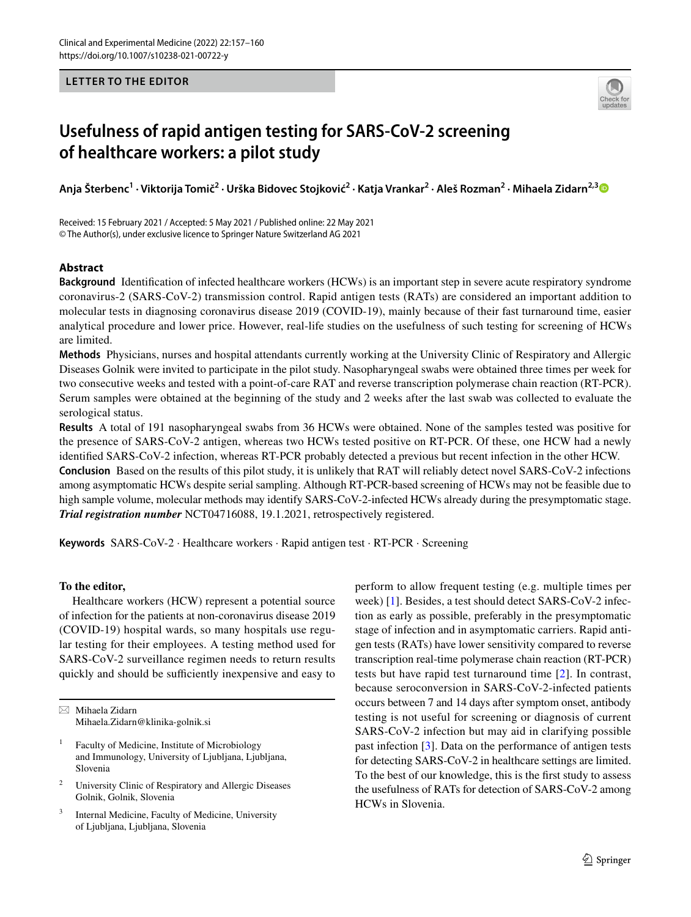### **LETTER TO THE EDITOR**



# **Usefulness of rapid antigen testing for SARS‑CoV‑2 screening of healthcare workers: a pilot study**

Anja Šterbenc<sup>1</sup> • Viktorija Tomič<sup>2</sup> • Urška Bidovec Stojković<sup>2</sup> • Katja Vrankar<sup>2</sup> • Aleš Rozman<sup>2</sup> • Mihaela Zidarn<sup>2,[3](http://orcid.org/0000-0003-0515-5207)</sup>

Received: 15 February 2021 / Accepted: 5 May 2021 / Published online: 22 May 2021 © The Author(s), under exclusive licence to Springer Nature Switzerland AG 2021

### **Abstract**

**Background** Identifcation of infected healthcare workers (HCWs) is an important step in severe acute respiratory syndrome coronavirus-2 (SARS-CoV-2) transmission control. Rapid antigen tests (RATs) are considered an important addition to molecular tests in diagnosing coronavirus disease 2019 (COVID-19), mainly because of their fast turnaround time, easier analytical procedure and lower price. However, real-life studies on the usefulness of such testing for screening of HCWs are limited.

**Methods** Physicians, nurses and hospital attendants currently working at the University Clinic of Respiratory and Allergic Diseases Golnik were invited to participate in the pilot study. Nasopharyngeal swabs were obtained three times per week for two consecutive weeks and tested with a point-of-care RAT and reverse transcription polymerase chain reaction (RT-PCR). Serum samples were obtained at the beginning of the study and 2 weeks after the last swab was collected to evaluate the serological status.

**Results** A total of 191 nasopharyngeal swabs from 36 HCWs were obtained. None of the samples tested was positive for the presence of SARS-CoV-2 antigen, whereas two HCWs tested positive on RT-PCR. Of these, one HCW had a newly identifed SARS-CoV-2 infection, whereas RT-PCR probably detected a previous but recent infection in the other HCW. **Conclusion** Based on the results of this pilot study, it is unlikely that RAT will reliably detect novel SARS-CoV-2 infections among asymptomatic HCWs despite serial sampling. Although RT-PCR-based screening of HCWs may not be feasible due to high sample volume, molecular methods may identify SARS-CoV-2-infected HCWs already during the presymptomatic stage. *Trial registration number* NCT04716088, 19.1.2021, retrospectively registered.

**Keywords** SARS-CoV-2 · Healthcare workers · Rapid antigen test · RT-PCR · Screening

#### **To the editor,**

Healthcare workers (HCW) represent a potential source of infection for the patients at non-coronavirus disease 2019 (COVID-19) hospital wards, so many hospitals use regular testing for their employees. A testing method used for SARS-CoV-2 surveillance regimen needs to return results quickly and should be sufficiently inexpensive and easy to

 $\boxtimes$  Mihaela Zidarn Mihaela.Zidarn@klinika-golnik.si

- Faculty of Medicine, Institute of Microbiology and Immunology, University of Ljubljana, Ljubljana, Slovenia
- <sup>2</sup> University Clinic of Respiratory and Allergic Diseases Golnik, Golnik, Slovenia
- Internal Medicine, Faculty of Medicine, University of Ljubljana, Ljubljana, Slovenia

perform to allow frequent testing (e.g. multiple times per week) [\[1](#page-3-0)]. Besides, a test should detect SARS-CoV-2 infection as early as possible, preferably in the presymptomatic stage of infection and in asymptomatic carriers. Rapid antigen tests (RATs) have lower sensitivity compared to reverse transcription real-time polymerase chain reaction (RT-PCR) tests but have rapid test turnaround time [[2\]](#page-3-1). In contrast, because seroconversion in SARS-CoV-2-infected patients occurs between 7 and 14 days after symptom onset, antibody testing is not useful for screening or diagnosis of current SARS-CoV-2 infection but may aid in clarifying possible past infection [[3\]](#page-3-2). Data on the performance of antigen tests for detecting SARS-CoV-2 in healthcare settings are limited. To the best of our knowledge, this is the frst study to assess the usefulness of RATs for detection of SARS-CoV-2 among HCWs in Slovenia.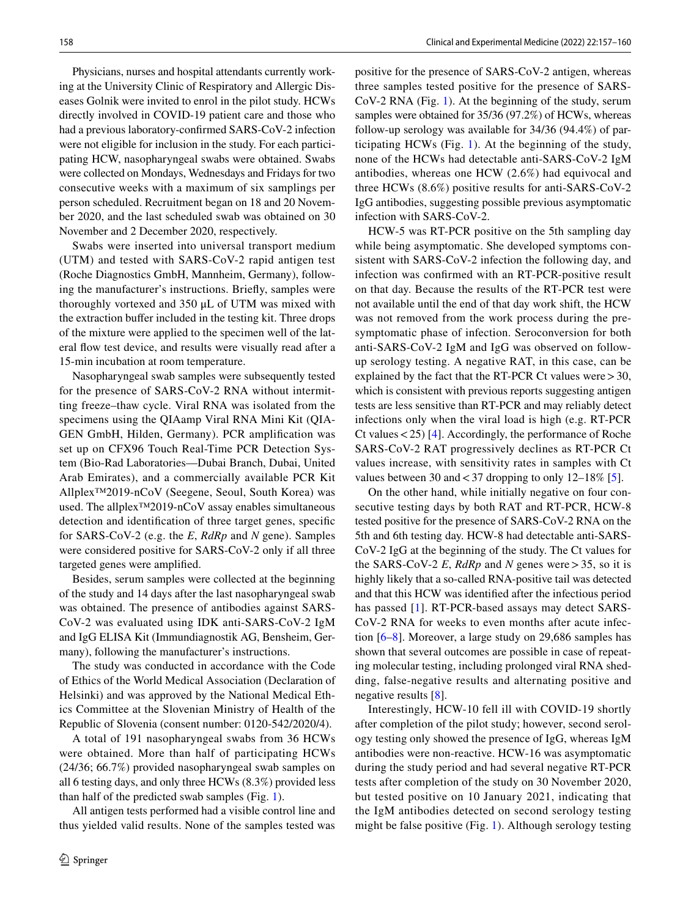Physicians, nurses and hospital attendants currently working at the University Clinic of Respiratory and Allergic Diseases Golnik were invited to enrol in the pilot study. HCWs directly involved in COVID-19 patient care and those who had a previous laboratory-confrmed SARS-CoV-2 infection were not eligible for inclusion in the study. For each participating HCW, nasopharyngeal swabs were obtained. Swabs were collected on Mondays, Wednesdays and Fridays for two consecutive weeks with a maximum of six samplings per person scheduled. Recruitment began on 18 and 20 November 2020, and the last scheduled swab was obtained on 30 November and 2 December 2020, respectively.

Swabs were inserted into universal transport medium (UTM) and tested with SARS-CoV-2 rapid antigen test (Roche Diagnostics GmbH, Mannheim, Germany), following the manufacturer's instructions. Briefy, samples were thoroughly vortexed and 350 μL of UTM was mixed with the extraction bufer included in the testing kit. Three drops of the mixture were applied to the specimen well of the lateral fow test device, and results were visually read after a 15-min incubation at room temperature.

Nasopharyngeal swab samples were subsequently tested for the presence of SARS-CoV-2 RNA without intermitting freeze–thaw cycle. Viral RNA was isolated from the specimens using the QIAamp Viral RNA Mini Kit (QIA-GEN GmbH, Hilden, Germany). PCR amplifcation was set up on CFX96 Touch Real-Time PCR Detection System (Bio-Rad Laboratories—Dubai Branch, Dubai, United Arab Emirates), and a commercially available PCR Kit Allplex™2019-nCoV (Seegene, Seoul, South Korea) was used. The allplex™2019-nCoV assay enables simultaneous detection and identifcation of three target genes, specifc for SARS-CoV-2 (e.g. the *E*, *RdRp* and *N* gene). Samples were considered positive for SARS-CoV-2 only if all three targeted genes were amplifed.

Besides, serum samples were collected at the beginning of the study and 14 days after the last nasopharyngeal swab was obtained. The presence of antibodies against SARS-CoV-2 was evaluated using IDK anti-SARS-CoV-2 IgM and IgG ELISA Kit (Immundiagnostik AG, Bensheim, Germany), following the manufacturer's instructions.

The study was conducted in accordance with the Code of Ethics of the World Medical Association (Declaration of Helsinki) and was approved by the National Medical Ethics Committee at the Slovenian Ministry of Health of the Republic of Slovenia (consent number: 0120-542/2020/4).

A total of 191 nasopharyngeal swabs from 36 HCWs were obtained. More than half of participating HCWs (24/36; 66.7%) provided nasopharyngeal swab samples on all 6 testing days, and only three HCWs (8.3%) provided less than half of the predicted swab samples (Fig. [1\)](#page-2-0).

All antigen tests performed had a visible control line and thus yielded valid results. None of the samples tested was

positive for the presence of SARS-CoV-2 antigen, whereas three samples tested positive for the presence of SARS-CoV-2 RNA (Fig. [1\)](#page-2-0). At the beginning of the study, serum samples were obtained for 35/36 (97.2%) of HCWs, whereas follow-up serology was available for 34/36 (94.4%) of participating HCWs (Fig. [1](#page-2-0)). At the beginning of the study, none of the HCWs had detectable anti-SARS-CoV-2 IgM antibodies, whereas one HCW (2.6%) had equivocal and three HCWs (8.6%) positive results for anti-SARS-CoV-2 IgG antibodies, suggesting possible previous asymptomatic infection with SARS-CoV-2.

HCW-5 was RT-PCR positive on the 5th sampling day while being asymptomatic. She developed symptoms consistent with SARS-CoV-2 infection the following day, and infection was confrmed with an RT-PCR-positive result on that day. Because the results of the RT-PCR test were not available until the end of that day work shift, the HCW was not removed from the work process during the presymptomatic phase of infection. Seroconversion for both anti-SARS-CoV-2 IgM and IgG was observed on followup serology testing. A negative RAT, in this case, can be explained by the fact that the RT-PCR Ct values were  $>$  30, which is consistent with previous reports suggesting antigen tests are less sensitive than RT-PCR and may reliably detect infections only when the viral load is high (e.g. RT-PCR Ct values<25) [\[4](#page-3-3)]. Accordingly, the performance of Roche SARS-CoV-2 RAT progressively declines as RT-PCR Ct values increase, with sensitivity rates in samples with Ct values between 30 and  $< 37$  dropping to only 12–18% [\[5](#page-3-4)].

On the other hand, while initially negative on four consecutive testing days by both RAT and RT-PCR, HCW-8 tested positive for the presence of SARS-CoV-2 RNA on the 5th and 6th testing day. HCW-8 had detectable anti-SARS-CoV-2 IgG at the beginning of the study. The Ct values for the SARS-CoV-2 *E*, *RdRp* and *N* genes were  $> 35$ , so it is highly likely that a so-called RNA-positive tail was detected and that this HCW was identifed after the infectious period has passed [[1\]](#page-3-0). RT-PCR-based assays may detect SARS-CoV-2 RNA for weeks to even months after acute infection [\[6](#page-3-5)[–8](#page-3-6)]. Moreover, a large study on 29,686 samples has shown that several outcomes are possible in case of repeating molecular testing, including prolonged viral RNA shedding, false-negative results and alternating positive and negative results [[8\]](#page-3-6).

Interestingly, HCW-10 fell ill with COVID-19 shortly after completion of the pilot study; however, second serology testing only showed the presence of IgG, whereas IgM antibodies were non-reactive. HCW-16 was asymptomatic during the study period and had several negative RT-PCR tests after completion of the study on 30 November 2020, but tested positive on 10 January 2021, indicating that the IgM antibodies detected on second serology testing might be false positive (Fig. [1\)](#page-2-0). Although serology testing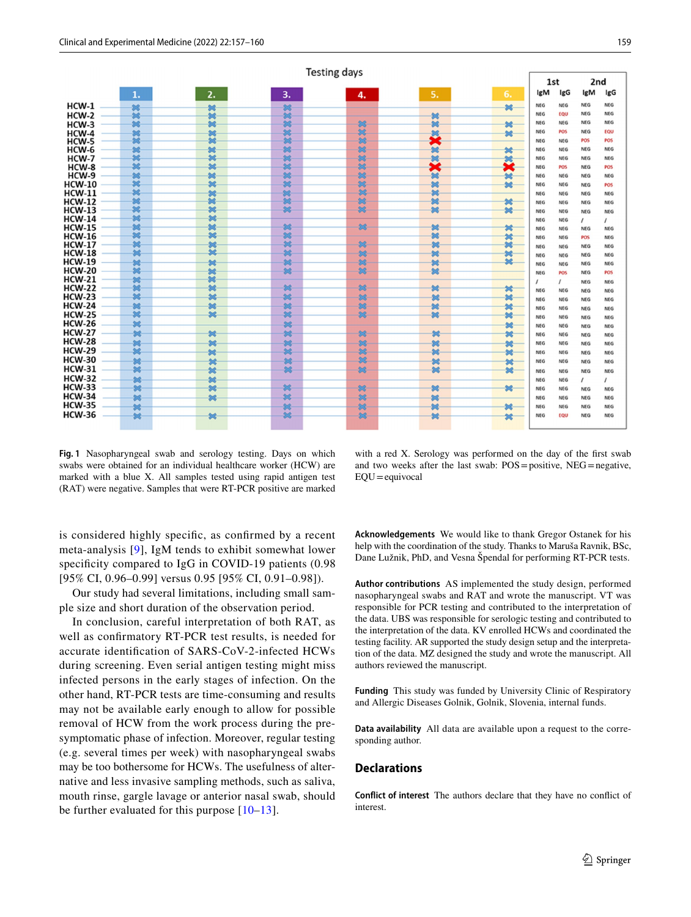|                |                         |                         |     | <b>Testing days</b> |    |              |            |            |            |                |
|----------------|-------------------------|-------------------------|-----|---------------------|----|--------------|------------|------------|------------|----------------|
|                |                         |                         |     |                     |    | 1st          |            | 2nd        |            |                |
|                | 1.                      | 2.                      | 3.  | 4.                  | 5. | 6.           | IgM        | IgG        | IgM        | IgG            |
| $HCW-1$        | 鱸                       | 铋                       | 鎹   |                     |    | 址            | <b>NEG</b> | <b>NEG</b> | <b>NEG</b> | <b>NEG</b>     |
| $HCW-2$        | $\overline{\mathbf{z}}$ | 鱸                       | Ś.  |                     | 皱  |              | NEG        | EQU        | <b>NEG</b> | <b>NEG</b>     |
| HCW-3          | 器                       | 址                       | 惢   | 88                  | 米  | 址            | <b>NEG</b> | <b>NEG</b> | <b>NEG</b> | <b>NEG</b>     |
| $HCW-4$        |                         | 地                       | 38  | SŚ.                 |    | 58           | <b>NEG</b> | POS        | <b>NEG</b> | EQU            |
| HCW-5          | ××                      | 露                       | 翁   | 88                  | Ř  |              | NEG        | <b>NEG</b> | POS        | <b>POS</b>     |
| HCW-6          | 皱                       | 驰                       | 惢   | 悠                   | 米  | 鲓            | <b>NEG</b> | <b>NEG</b> | <b>NEG</b> | <b>NEG</b>     |
| HCW-7          | 铋                       | 冰                       | 越   | 88                  | 鱸  |              | NEG        | <b>NEG</b> | <b>NEG</b> | <b>NEG</b>     |
|                | 冰                       | $\overline{\mathbf{x}}$ | 惢   | 88                  | ×  | Ř            |            | <b>POS</b> | <b>NEG</b> | POS            |
| HCW-8<br>HCW-9 |                         |                         | 惢   | 怨                   |    |              | NEG        |            |            |                |
|                | 鍼<br>城                  | 铋<br>城                  |     | 88                  | 馀  | 址            | <b>NEG</b> | NEG        | <b>NEG</b> | <b>NEG</b>     |
| <b>HCW-10</b>  |                         |                         | 惢   |                     | 鱸  | 址            | NEG        | NEG        | <b>NEG</b> | POS            |
| <b>HCW-11</b>  | 铋                       | 皱                       | 鳡   | 88                  | 鱸  |              | <b>NEG</b> | <b>NEG</b> | <b>NEG</b> | <b>NEG</b>     |
| <b>HCW-12</b>  | 馨                       | 露                       | 惢   | 88                  | 她  | 皱            | <b>NEG</b> | <b>NEG</b> | <b>NEG</b> | <b>NEG</b>     |
| <b>HCW-13</b>  | 鑢                       | 铋                       | 総   | 83                  | 鍼  | 米            | NEG        | <b>NEG</b> | <b>NEG</b> | <b>NEG</b>     |
| <b>HCW-14</b>  | 鍼                       | 鍼                       |     |                     |    |              | <b>NEG</b> | <b>NEG</b> | $\prime$   | $\overline{I}$ |
| <b>HCW-15</b>  | 鍼                       | 鱸                       | 総   | 88                  | 铋  | 皱            | NEG        | <b>NEG</b> | <b>NEG</b> | NEG            |
| <b>HCW-16</b>  | 铋                       | 56                      | 惢   |                     | 鱸  | 龄            | NEG        | <b>NEG</b> | POS        | <b>NEG</b>     |
| <b>HCW-17</b>  | 露                       | 鱸                       | SŚ. | 88                  | 鱸  | 址            | NEG        | <b>NEG</b> | <b>NEG</b> | <b>NEG</b>     |
| <b>HCW-18</b>  | 铋                       | ż                       | 惢   | 88                  | 米  | 鲓            | <b>NEG</b> | <b>NEG</b> | <b>NEG</b> | <b>NEG</b>     |
| <b>HCW-19</b>  | 豨                       | 址                       | 総   | 88                  | 姥  | $\mathbf{R}$ | <b>NEG</b> | <b>NEG</b> | <b>NEG</b> | <b>NEG</b>     |
| <b>HCW-20</b>  | ä                       | 铋                       | 惢   | 88                  | 皱  |              | <b>NEG</b> | POS        | <b>NEG</b> | POS            |
| <b>HCW-21</b>  | 鲓                       | 鱸                       |     |                     |    |              |            |            |            |                |
| <b>HCW-22</b>  | 鱸                       | 址                       | 铋   | 惢                   | 皱  | 皱            | $\prime$   | $\prime$   | NEG        | <b>NEG</b>     |
| <b>HCW-23</b>  | 3¢                      | <b>SG</b>               | ×   | 88                  | 鯱  | 冰            | <b>NEG</b> | <b>NEG</b> | <b>NEG</b> | NEG            |
| <b>HCW-24</b>  | 铋                       | 鍼                       | 総   | 88                  |    |              | NEG        | NEG        | <b>NEG</b> | NEG            |
|                | ŻĖ.                     | 馨                       | 惢   | 88                  | 皱  | 鲓            | <b>NEG</b> | NEG        | <b>NEG</b> | NEG            |
| <b>HCW-25</b>  |                         |                         |     |                     | 鍼  | 馨            | NEG        | NEG        | <b>NEG</b> | <b>NEG</b>     |
| <b>HCW-26</b>  | $^{36}$                 |                         | 88  |                     |    | 米            | <b>NEG</b> | <b>NEG</b> | <b>NEG</b> | <b>NEG</b>     |
| <b>HCW-27</b>  | 皱                       | 姥                       | 鎹   | 88                  | 米  | 址            | <b>NEG</b> | <b>NEG</b> | <b>NEG</b> | <b>NEG</b>     |
| <b>HCW-28</b>  | 址                       | 鱸                       | 地   | 83                  | 鑢  | 址            | <b>NEG</b> | <b>NEG</b> | <b>NEG</b> | <b>NEG</b>     |
| <b>HCW-29</b>  | $\mathcal{R}$           | 址                       | 鍃   | 83                  | 地  | 皱            | NEG        | NEG        | <b>NEG</b> | <b>NEG</b>     |
| <b>HCW-30</b>  | 址                       | 皱                       | 铋   | 88                  | 铋  | 址            | NEG        | <b>NEG</b> | <b>NEG</b> | <b>NEG</b>     |
| <b>HCW-31</b>  | 铋                       | 址                       | 惢   | 88                  | 冰  | 米            | NEG        |            |            |                |
| <b>HCW-32</b>  | 址                       | $\mathbf{M}$            |     |                     |    |              |            | NEG        | NEG        | NEG            |
| <b>HCW-33</b>  |                         |                         | 総   |                     |    |              | <b>NEG</b> | NEG        | $\prime$   | $\prime$       |
|                | 她                       | 鍼                       |     | 88                  | 米  | 皱            | <b>NEG</b> | NEG        | <b>NEG</b> | <b>NEG</b>     |
| <b>HCW-34</b>  | 皱                       | 端                       | 鎹   | 88                  | 鱸  |              | <b>NEG</b> | <b>NEG</b> | <b>NEG</b> | <b>NEG</b>     |
| <b>HCW-35</b>  | 鎹                       |                         | 総   | 88                  | 鍼  | 鱸            | NEG        | <b>NEG</b> | <b>NEG</b> | NEG            |
| <b>HCW-36</b>  | 她                       | 学                       | 铋   | 88                  | 皱  | 皱            | NEG        | EQU        | <b>NEG</b> | <b>NEG</b>     |
|                |                         |                         |     |                     |    |              |            |            |            |                |

<span id="page-2-0"></span>**Fig. 1** Nasopharyngeal swab and serology testing. Days on which swabs were obtained for an individual healthcare worker (HCW) are marked with a blue X. All samples tested using rapid antigen test (RAT) were negative. Samples that were RT-PCR positive are marked

with a red X. Serology was performed on the day of the frst swab and two weeks after the last swab: POS=positive, NEG=negative,  $EOU =$ equivocal

is considered highly specifc, as confrmed by a recent meta-analysis [[9\]](#page-3-7), IgM tends to exhibit somewhat lower specificity compared to IgG in COVID-19 patients (0.98) [95% CI, 0.96–0.99] versus 0.95 [95% CI, 0.91–0.98]).

Our study had several limitations, including small sample size and short duration of the observation period.

In conclusion, careful interpretation of both RAT, as well as confrmatory RT-PCR test results, is needed for accurate identifcation of SARS-CoV-2-infected HCWs during screening. Even serial antigen testing might miss infected persons in the early stages of infection. On the other hand, RT-PCR tests are time-consuming and results may not be available early enough to allow for possible removal of HCW from the work process during the presymptomatic phase of infection. Moreover, regular testing (e.g. several times per week) with nasopharyngeal swabs may be too bothersome for HCWs. The usefulness of alternative and less invasive sampling methods, such as saliva, mouth rinse, gargle lavage or anterior nasal swab, should be further evaluated for this purpose [[10](#page-3-8)[–13\]](#page-3-9).

**Acknowledgements** We would like to thank Gregor Ostanek for his help with the coordination of the study. Thanks to Maruša Ravnik, BSc, Dane Lužnik, PhD, and Vesna Špendal for performing RT-PCR tests.

**Author contributions** AS implemented the study design, performed nasopharyngeal swabs and RAT and wrote the manuscript. VT was responsible for PCR testing and contributed to the interpretation of the data. UBS was responsible for serologic testing and contributed to the interpretation of the data. KV enrolled HCWs and coordinated the testing facility. AR supported the study design setup and the interpretation of the data. MZ designed the study and wrote the manuscript. All authors reviewed the manuscript.

**Funding** This study was funded by University Clinic of Respiratory and Allergic Diseases Golnik, Golnik, Slovenia, internal funds.

**Data availability** All data are available upon a request to the corresponding author.

#### **Declarations**

**Conflict of interest** The authors declare that they have no confict of interest.